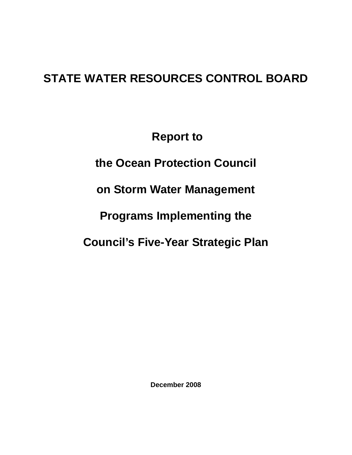# **STATE WATER RESOURCES CONTROL BOARD**

 **Report to** 

**the Ocean Protection Council** 

**on Storm Water Management** 

**Programs Implementing the** 

**Council's Five-Year Strategic Plan** 

**December 2008**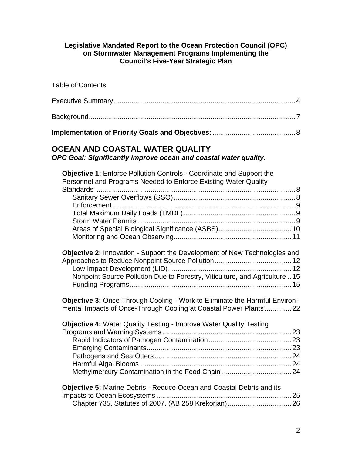## **Legislative Mandated Report to the Ocean Protection Council (OPC) on Stormwater Management Programs Implementing the Council's Five-Year Strategic Plan**

| <b>Table of Contents</b>                                                                                                                                                                                                                                                                                                                                                                                                                                                                                                                         |
|--------------------------------------------------------------------------------------------------------------------------------------------------------------------------------------------------------------------------------------------------------------------------------------------------------------------------------------------------------------------------------------------------------------------------------------------------------------------------------------------------------------------------------------------------|
|                                                                                                                                                                                                                                                                                                                                                                                                                                                                                                                                                  |
|                                                                                                                                                                                                                                                                                                                                                                                                                                                                                                                                                  |
|                                                                                                                                                                                                                                                                                                                                                                                                                                                                                                                                                  |
| OCEAN AND COASTAL WATER QUALITY<br>OPC Goal: Significantly improve ocean and coastal water quality.                                                                                                                                                                                                                                                                                                                                                                                                                                              |
| Objective 1: Enforce Pollution Controls - Coordinate and Support the<br>Personnel and Programs Needed to Enforce Existing Water Quality<br><b>Objective 2: Innovation - Support the Development of New Technologies and</b><br>Nonpoint Source Pollution Due to Forestry, Viticulture, and Agriculture  15<br><b>Objective 3: Once-Through Cooling - Work to Eliminate the Harmful Environ-</b><br>mental Impacts of Once-Through Cooling at Coastal Power Plants22<br><b>Objective 4: Water Quality Testing - Improve Water Quality Testing</b> |
|                                                                                                                                                                                                                                                                                                                                                                                                                                                                                                                                                  |
| <b>Objective 5: Marine Debris - Reduce Ocean and Coastal Debris and its</b>                                                                                                                                                                                                                                                                                                                                                                                                                                                                      |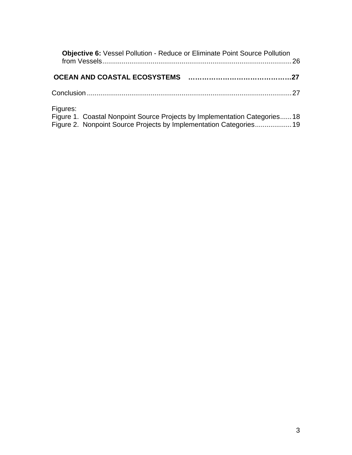| <b>Objective 6:</b> Vessel Pollution - Reduce or Eliminate Point Source Pollution                                                                           | .26 |
|-------------------------------------------------------------------------------------------------------------------------------------------------------------|-----|
|                                                                                                                                                             |     |
|                                                                                                                                                             |     |
| Figures:<br>Figure 1. Coastal Nonpoint Source Projects by Implementation Categories18<br>Figure 2. Nonpoint Source Projects by Implementation Categories 19 |     |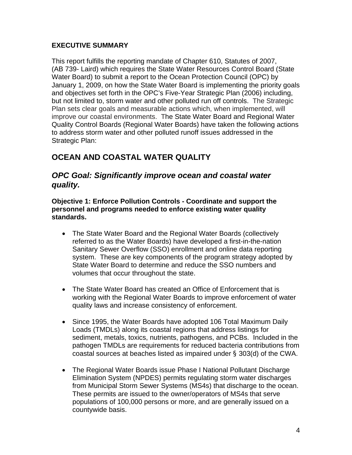# <span id="page-3-0"></span>**EXECUTIVE SUMMARY**

This report fulfills the reporting mandate of Chapter 610, Statutes of 2007, (AB 739- Laird) which requires the State Water Resources Control Board (State Water Board) to submit a report to the Ocean Protection Council (OPC) by January 1, 2009, on how the State Water Board is implementing the priority goals and objectives set forth in the OPC's Five-Year Strategic Plan (2006) including, but not limited to, storm water and other polluted run off controls. The Strategic Plan sets clear goals and measurable actions which, when implemented, will improve our coastal environments. The State Water Board and Regional Water Quality Control Boards (Regional Water Boards) have taken the following actions to address storm water and other polluted runoff issues addressed in the Strategic Plan:

# **OCEAN AND COASTAL WATER QUALITY**

# *OPC Goal: Significantly improve ocean and coastal water quality.*

**Objective 1: Enforce Pollution Controls - Coordinate and support the personnel and programs needed to enforce existing water quality standards.** 

- The State Water Board and the Regional Water Boards (collectively referred to as the Water Boards) have developed a first-in-the-nation Sanitary Sewer Overflow (SSO) enrollment and online data reporting system. These are key components of the program strategy adopted by State Water Board to determine and reduce the SSO numbers and volumes that occur throughout the state.
- The State Water Board has created an Office of Enforcement that is working with the Regional Water Boards to improve enforcement of water quality laws and increase consistency of enforcement.
- Since 1995, the Water Boards have adopted 106 Total Maximum Daily Loads (TMDLs) along its coastal regions that address listings for sediment, metals, toxics, nutrients, pathogens, and PCBs. Included in the pathogen TMDLs are requirements for reduced bacteria contributions from coastal sources at beaches listed as impaired under § 303(d) of the CWA.
- The Regional Water Boards issue Phase I National Pollutant Discharge Elimination System (NPDES) permits regulating storm water discharges from Municipal Storm Sewer Systems (MS4s) that discharge to the ocean. These permits are issued to the owner/operators of MS4s that serve populations of 100,000 persons or more, and are generally issued on a countywide basis.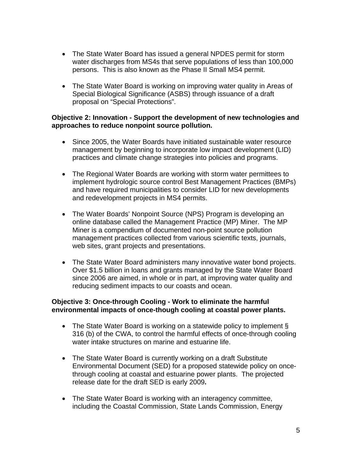- The State Water Board has issued a general NPDES permit for storm water discharges from MS4s that serve populations of less than 100,000 persons. This is also known as the Phase II Small MS4 permit.
- The State Water Board is working on improving water quality in Areas of Special Biological Significance (ASBS) through issuance of a draft proposal on "Special Protections".

## **Objective 2: Innovation - Support the development of new technologies and approaches to reduce nonpoint source pollution.**

- Since 2005, the Water Boards have initiated sustainable water resource management by beginning to incorporate low impact development (LID) practices and climate change strategies into policies and programs.
- The Regional Water Boards are working with storm water permittees to implement hydrologic source control Best Management Practices (BMPs) and have required municipalities to consider LID for new developments and redevelopment projects in MS4 permits.
- The Water Boards' Nonpoint Source (NPS) Program is developing an online database called the Management Practice (MP) Miner. The MP Miner is a compendium of documented non-point source pollution management practices collected from various scientific texts, journals, web sites, grant projects and presentations.
- The State Water Board administers many innovative water bond projects. Over \$1.5 billion in loans and grants managed by the State Water Board since 2006 are aimed, in whole or in part, at improving water quality and reducing sediment impacts to our coasts and ocean.

# **Objective 3: Once-through Cooling - Work to eliminate the harmful environmental impacts of once-though cooling at coastal power plants.**

- The State Water Board is working on a statewide policy to implement § 316 (b) of the CWA, to control the harmful effects of once-through cooling water intake structures on marine and estuarine life.
- The State Water Board is currently working on a draft Substitute Environmental Document (SED) for a proposed statewide policy on oncethrough cooling at coastal and estuarine power plants. The projected release date for the draft SED is early 2009**.**
- The State Water Board is working with an interagency committee, including the Coastal Commission, State Lands Commission, Energy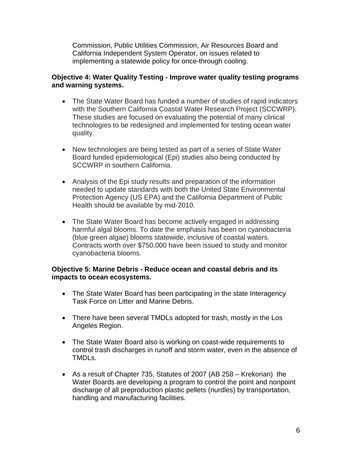Commission, Public Utilities Commission, Air Resources Board and California Independent System Operator, on issues related to implementing a statewide policy for once-through cooling.

# **Objective 4: Water Quality Testing - Improve water quality testing programs and warning systems.**

- The State Water Board has funded a number of studies of rapid indicators with the Southern California Coastal Water Research Project (SCCWRP). These studies are focused on evaluating the potential of many clinical technologies to be redesigned and implemented for testing ocean water quality.
- New technologies are being tested as part of a series of State Water Board funded epidemiological (Epi) studies also being conducted by SCCWRP in southern California.
- Analysis of the Epi study results and preparation of the information needed to update standards with both the United State Environmental Protection Agency (US EPA) and the California Department of Public Health should be available by mid-2010.
- The State Water Board has become actively engaged in addressing harmful algal blooms. To date the emphasis has been on cyanobacteria (blue green algae) blooms statewide, inclusive of coastal waters. Contracts worth over \$750,000 have been issued to study and monitor cyanobacteria blooms.

# **Objective 5: Marine Debris - Reduce ocean and coastal debris and its impacts to ocean ecosystems.**

- The State Water Board has been participating in the state Interagency Task Force on Litter and Marine Debris.
- There have been several TMDLs adopted for trash, mostly in the Los Angeles Region.
- The State Water Board also is working on coast-wide requirements to control trash discharges in runoff and storm water, even in the absence of TMDLs.
- As a result of Chapter 735, Statutes of 2007 (AB 258 Krekorian) the Water Boards are developing a program to control the point and nonpoint discharge of all preproduction plastic pellets (nurdles) by transportation, handling and manufacturing facilities.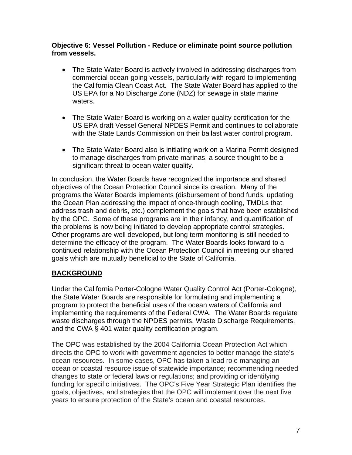# <span id="page-6-0"></span>**Objective 6: Vessel Pollution - Reduce or eliminate point source pollution from vessels.**

- The State Water Board is actively involved in addressing discharges from commercial ocean-going vessels, particularly with regard to implementing the California Clean Coast Act. The State Water Board has applied to the US EPA for a No Discharge Zone (NDZ) for sewage in state marine waters.
- The State Water Board is working on a water quality certification for the US EPA draft Vessel General NPDES Permit and continues to collaborate with the State Lands Commission on their ballast water control program.
- The State Water Board also is initiating work on a Marina Permit designed to manage discharges from private marinas, a source thought to be a significant threat to ocean water quality.

In conclusion, the Water Boards have recognized the importance and shared objectives of the Ocean Protection Council since its creation. Many of the programs the Water Boards implements (disbursement of bond funds, updating the Ocean Plan addressing the impact of once-through cooling, TMDLs that address trash and debris, etc.) complement the goals that have been established by the OPC. Some of these programs are in their infancy, and quantification of the problems is now being initiated to develop appropriate control strategies. Other programs are well developed, but long term monitoring is still needed to determine the efficacy of the program. The Water Boards looks forward to a continued relationship with the Ocean Protection Council in meeting our shared goals which are mutually beneficial to the State of California.

# **BACKGROUND**

Under the California Porter-Cologne Water Quality Control Act (Porter-Cologne), the State Water Boards are responsible for formulating and implementing a program to protect the beneficial uses of the ocean waters of California and implementing the requirements of the Federal CWA. The Water Boards regulate waste discharges through the NPDES permits, Waste Discharge Requirements, and the CWA § 401 water quality certification program.

The OPC was established by the 2004 California Ocean Protection Act which directs the OPC to work with government agencies to better manage the state's ocean resources. In some cases, OPC has taken a lead role managing an ocean or coastal resource issue of statewide importance; recommending needed changes to state or federal laws or regulations; and providing or identifying funding for specific initiatives. The OPC's Five Year Strategic Plan identifies the goals, objectives, and strategies that the OPC will implement over the next five years to ensure protection of the State's ocean and coastal resources.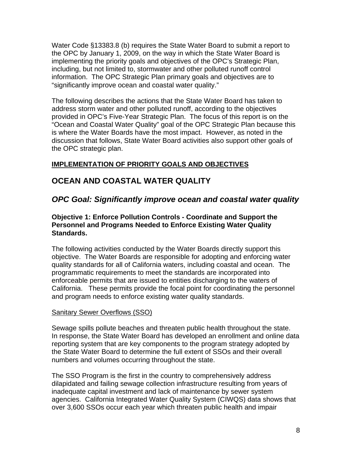<span id="page-7-0"></span>Water Code §13383.8 (b) requires the State Water Board to submit a report to the OPC by January 1, 2009, on the way in which the State Water Board is implementing the priority goals and objectives of the OPC's Strategic Plan, including, but not limited to, stormwater and other polluted runoff control information. The OPC Strategic Plan primary goals and objectives are to "significantly improve ocean and coastal water quality."

The following describes the actions that the State Water Board has taken to address storm water and other polluted runoff, according to the objectives provided in OPC's Five-Year Strategic Plan. The focus of this report is on the "Ocean and Coastal Water Quality" goal of the OPC Strategic Plan because this is where the Water Boards have the most impact. However, as noted in the discussion that follows, State Water Board activities also support other goals of the OPC strategic plan.

# **IMPLEMENTATION OF PRIORITY GOALS AND OBJECTIVES**

# **OCEAN AND COASTAL WATER QUALITY**

# *OPC Goal: Significantly improve ocean and coastal water quality*

### **Objective 1: Enforce Pollution Controls - Coordinate and Support the Personnel and Programs Needed to Enforce Existing Water Quality Standards.**

The following activities conducted by the Water Boards directly support this objective. The Water Boards are responsible for adopting and enforcing water quality standards for all of California waters, including coastal and ocean. The programmatic requirements to meet the standards are incorporated into enforceable permits that are issued to entities discharging to the waters of California. These permits provide the focal point for coordinating the personnel and program needs to enforce existing water quality standards.

# Sanitary Sewer Overflows (SSO)

Sewage spills pollute beaches and threaten public health throughout the state. In response, the State Water Board has developed an enrollment and online data reporting system that are key components to the program strategy adopted by the State Water Board to determine the full extent of SSOs and their overall numbers and volumes occurring throughout the state.

The SSO Program is the first in the country to comprehensively address dilapidated and failing sewage collection infrastructure resulting from years of inadequate capital investment and lack of maintenance by sewer system agencies. California Integrated Water Quality System (CIWQS) data shows that over 3,600 SSOs occur each year which threaten public health and impair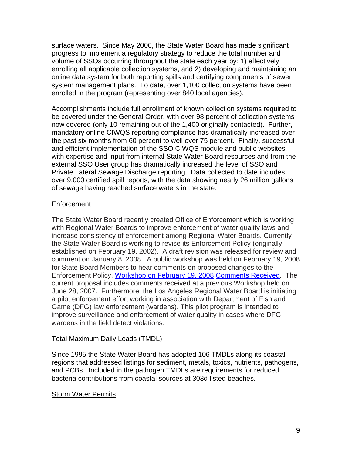<span id="page-8-0"></span>surface waters. Since May 2006, the State Water Board has made significant progress to implement a regulatory strategy to reduce the total number and volume of SSOs occurring throughout the state each year by: 1) effectively enrolling all applicable collection systems, and 2) developing and maintaining an online data system for both reporting spills and certifying components of sewer system management plans. To date, over 1,100 collection systems have been enrolled in the program (representing over 840 local agencies).

Accomplishments include full enrollment of known collection systems required to be covered under the General Order, with over 98 percent of collection systems now covered (only 10 remaining out of the 1,400 originally contacted). Further, mandatory online CIWQS reporting compliance has dramatically increased over the past six months from 60 percent to well over 75 percent. Finally, successful and efficient implementation of the SSO CIWQS module and public websites, with expertise and input from internal State Water Board resources and from the external SSO User group has dramatically increased the level of SSO and Private Lateral Sewage Discharge reporting. Data collected to date includes over 9,000 certified spill reports, with the data showing nearly 26 million gallons of sewage having reached surface waters in the state.

## Enforcement

The State Water Board recently created Office of Enforcement which is working with Regional Water Boards to improve enforcement of water quality laws and increase consistency of enforcement among Regional Water Boards. Currently the State Water Board is working to revise its Enforcement Policy (originally established on February 19, 2002). A draft revision was released for review and comment on January 8, 2008. A public workshop was held on February 19, 2008 for State Board Members to hear comments on proposed changes to the Enforcement Policy. [Workshop on February 19, 2008](http://www.waterboards.ca.gov/water_issues/programs/enforcement/docs/notice_enforcement.pdf) [Comments Received.](http://www.waterboards.ca.gov/water_issues/programs/enforcement/comments2008.shtml) The current proposal includes comments received at a previous Workshop held on June 28, 2007. Furthermore, the Los Angeles Regional Water Board is initiating a pilot enforcement effort working in association with Department of Fish and Game (DFG) law enforcement (wardens). This pilot program is intended to improve surveillance and enforcement of water quality in cases where DFG wardens in the field detect violations.

## Total Maximum Daily Loads (TMDL)

Since 1995 the State Water Board has adopted 106 TMDLs along its coastal regions that addressed listings for sediment, metals, toxics, nutrients, pathogens, and PCBs. Included in the pathogen TMDLs are requirements for reduced bacteria contributions from coastal sources at 303d listed beaches.

## Storm Water Permits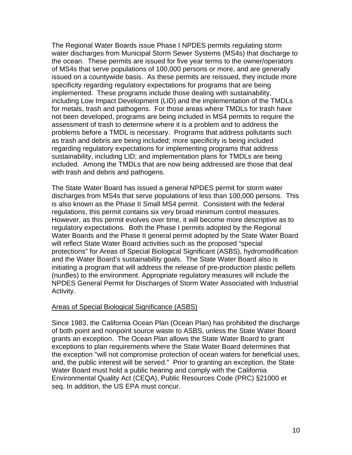<span id="page-9-0"></span>The Regional Water Boards issue Phase I NPDES permits regulating storm water discharges from Municipal Storm Sewer Systems (MS4s) that discharge to the ocean. These permits are issued for five year terms to the owner/operators of MS4s that serve populations of 100,000 persons or more, and are generally issued on a countywide basis. As these permits are reissued, they include more specificity regarding regulatory expectations for programs that are being implemented. These programs include those dealing with sustainability, including Low Impact Development (LID) and the implementation of the TMDLs for metals, trash and pathogens. For those areas where TMDLs for trash have not been developed, programs are being included in MS4 permits to require the assessment of trash to determine where it is a problem and to address the problems before a TMDL is necessary. Programs that address pollutants such as trash and debris are being included; more specificity is being included regarding regulatory expectations for implementing programs that address sustainability, including LID; and implementation plans for TMDLs are being included. Among the TMDLs that are now being addressed are those that deal with trash and debris and pathogens.

The State Water Board has issued a general NPDES permit for storm water discharges from MS4s that serve populations of less than 100,000 persons. This is also known as the Phase II Small MS4 permit. Consistent with the federal regulations, this permit contains six very broad minimum control measures. However, as this permit evolves over time, it will become more descriptive as to regulatory expectations. Both the Phase I permits adopted by the Regional Water Boards and the Phase II general permit adopted by the State Water Board will reflect State Water Board activities such as the proposed "special protections" for Areas of Special Biological Significant (ASBS), hydromodification and the Water Board's sustainability goals. The State Water Board also is initiating a program that will address the release of pre-production plastic pellets (nurdles) to the environment. Appropriate regulatory measures will include the NPDES General Permit for Discharges of Storm Water Associated with Industrial Activity.

## Areas of Special Biological Significance (ASBS)

Since 1983, the California Ocean Plan (Ocean Plan) has prohibited the discharge of both point and nonpoint source waste to ASBS, unless the State Water Board grants an exception. The Ocean Plan allows the State Water Board to grant exceptions to plan requirements where the State Water Board determines that the exception "will not compromise protection of ocean waters for beneficial uses, and, the public interest will be served." Prior to granting an exception, the State Water Board must hold a public hearing and comply with the California Environmental Quality Act (CEQA), Public Resources Code (PRC) §21000 et seq. In addition, the US EPA must concur.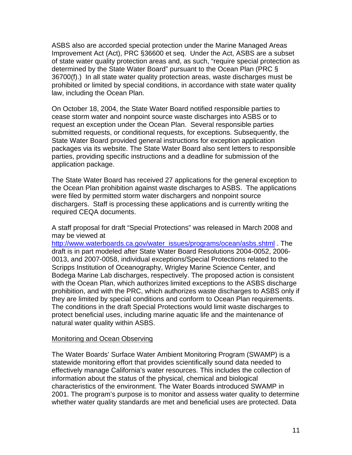<span id="page-10-0"></span>ASBS also are accorded special protection under the Marine Managed Areas Improvement Act (Act), PRC §36600 et seq. Under the Act, ASBS are a subset of state water quality protection areas and, as such, "require special protection as determined by the State Water Board" pursuant to the Ocean Plan (PRC § 36700(f).) In all state water quality protection areas, waste discharges must be prohibited or limited by special conditions, in accordance with state water quality law, including the Ocean Plan.

On October 18, 2004, the State Water Board notified responsible parties to cease storm water and nonpoint source waste discharges into ASBS or to request an exception under the Ocean Plan. Several responsible parties submitted requests, or conditional requests, for exceptions. Subsequently, the State Water Board provided general instructions for exception application packages via its website. The State Water Board also sent letters to responsible parties, providing specific instructions and a deadline for submission of the application package.

The State Water Board has received 27 applications for the general exception to the Ocean Plan prohibition against waste discharges to ASBS. The applications were filed by permitted storm water dischargers and nonpoint source dischargers. Staff is processing these applications and is currently writing the required CEQA documents.

A staff proposal for draft "Special Protections" was released in March 2008 and may be viewed at

[http://www.waterboards.ca.gov/water\\_issues/programs/ocean/asbs.shtml](http://www.waterboards.ca.gov/water_issues/programs/ocean/asbs.shtml) . The draft is in part modeled after State Water Board Resolutions 2004-0052, 2006- 0013, and 2007-0058, individual exceptions/Special Protections related to the Scripps Institution of Oceanography, Wrigley Marine Science Center, and Bodega Marine Lab discharges, respectively. The proposed action is consistent with the Ocean Plan, which authorizes limited exceptions to the ASBS discharge prohibition, and with the PRC, which authorizes waste discharges to ASBS only if they are limited by special conditions and conform to Ocean Plan requirements. The conditions in the draft Special Protections would limit waste discharges to protect beneficial uses, including marine aquatic life and the maintenance of natural water quality within ASBS.

## Monitoring and Ocean Observing

The Water Boards' Surface Water Ambient Monitoring Program (SWAMP) is a statewide monitoring effort that provides scientifically sound data needed to effectively manage California's water resources. This includes the collection of information about the status of the physical, chemical and biological characteristics of the environment. The Water Boards introduced SWAMP in 2001. The program's purpose is to monitor and assess water quality to determine whether water quality standards are met and beneficial uses are protected. Data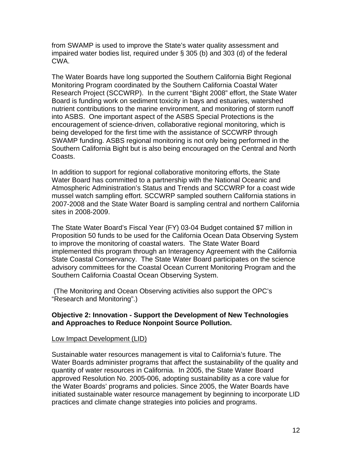<span id="page-11-0"></span>from SWAMP is used to improve the State's water quality assessment and impaired water bodies list, required under § 305 (b) and 303 (d) of the federal CWA.

The Water Boards have long supported the Southern California Bight Regional Monitoring Program coordinated by the Southern California Coastal Water Research Project (SCCWRP). In the current "Bight 2008" effort, the State Water Board is funding work on sediment toxicity in bays and estuaries, watershed nutrient contributions to the marine environment, and monitoring of storm runoff into ASBS. One important aspect of the ASBS Special Protections is the encouragement of science-driven, collaborative regional monitoring, which is being developed for the first time with the assistance of SCCWRP through SWAMP funding. ASBS regional monitoring is not only being performed in the Southern California Bight but is also being encouraged on the Central and North Coasts.

In addition to support for regional collaborative monitoring efforts, the State Water Board has committed to a partnership with the National Oceanic and Atmospheric Administration's Status and Trends and SCCWRP for a coast wide mussel watch sampling effort. SCCWRP sampled southern California stations in 2007-2008 and the State Water Board is sampling central and northern California sites in 2008-2009.

The State Water Board's Fiscal Year (FY) 03-04 Budget contained \$7 million in Proposition 50 funds to be used for the California Ocean Data Observing System to improve the monitoring of coastal waters. The State Water Board implemented this program through an Interagency Agreement with the California State Coastal Conservancy. The State Water Board participates on the science advisory committees for the Coastal Ocean Current Monitoring Program and the Southern California Coastal Ocean Observing System.

 (The Monitoring and Ocean Observing activities also support the OPC's "Research and Monitoring".)

#### **Objective 2: Innovation - Support the Development of New Technologies and Approaches to Reduce Nonpoint Source Pollution.**

#### Low Impact Development (LID)

Sustainable water resources management is vital to California's future. The Water Boards administer programs that affect the sustainability of the quality and quantity of water resources in California. In 2005, the State Water Board approved Resolution No. 2005-006, adopting sustainability as a core value for the Water Boards' programs and policies. Since 2005, the Water Boards have initiated sustainable water resource management by beginning to incorporate LID practices and climate change strategies into policies and programs.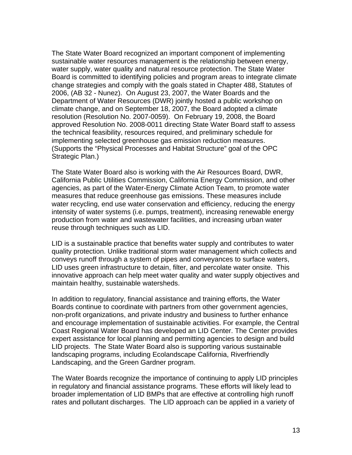The State Water Board recognized an important component of implementing sustainable water resources management is the relationship between energy, water supply, water quality and natural resource protection. The State Water Board is committed to identifying policies and program areas to integrate climate change strategies and comply with the goals stated in Chapter 488, Statutes of 2006, (AB 32 - Nunez). On August 23, 2007, the Water Boards and the Department of Water Resources (DWR) jointly hosted a public workshop on climate change, and on September 18, 2007, the Board adopted a climate resolution (Resolution No. 2007-0059). On February 19, 2008, the Board approved Resolution No. 2008-0011 directing State Water Board staff to assess the technical feasibility, resources required, and preliminary schedule for implementing selected greenhouse gas emission reduction measures. (Supports the "Physical Processes and Habitat Structure" goal of the OPC Strategic Plan.)

The State Water Board also is working with the Air Resources Board, DWR, California Public Utilities Commission, California Energy Commission, and other agencies, as part of the Water-Energy Climate Action Team, to promote water measures that reduce greenhouse gas emissions. These measures include water recycling, end use water conservation and efficiency, reducing the energy intensity of water systems (i.e. pumps, treatment), increasing renewable energy production from water and wastewater facilities, and increasing urban water reuse through techniques such as LID.

LID is a sustainable practice that benefits water supply and contributes to water quality protection. Unlike traditional storm water management which collects and conveys runoff through a system of pipes and conveyances to surface waters, LID uses green infrastructure to detain, filter, and percolate water onsite. This innovative approach can help meet water quality and water supply objectives and maintain healthy, sustainable watersheds.

In addition to regulatory, financial assistance and training efforts, the Water Boards continue to coordinate with partners from other government agencies, non-profit organizations, and private industry and business to further enhance and encourage implementation of sustainable activities. For example, the Central Coast Regional Water Board has developed an LID Center. The Center provides expert assistance for local planning and permitting agencies to design and build LID projects. The State Water Board also is supporting various sustainable landscaping programs, including Ecolandscape California, Riverfriendly Landscaping, and the Green Gardner program.

The Water Boards recognize the importance of continuing to apply LID principles in regulatory and financial assistance programs. These efforts will likely lead to broader implementation of LID BMPs that are effective at controlling high runoff rates and pollutant discharges. The LID approach can be applied in a variety of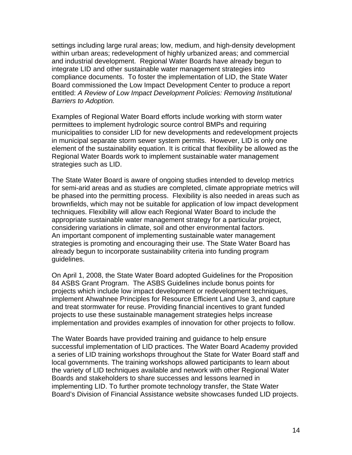settings including large rural areas; low, medium, and high-density development within urban areas; redevelopment of highly urbanized areas; and commercial and industrial development. Regional Water Boards have already begun to integrate LID and other sustainable water management strategies into compliance documents. To foster the implementation of LID, the State Water Board commissioned the Low Impact Development Center to produce a report entitled: *A Review of Low Impact Development Policies: Removing Institutional Barriers to Adoption.* 

Examples of Regional Water Board efforts include working with storm water permittees to implement hydrologic source control BMPs and requiring municipalities to consider LID for new developments and redevelopment projects in municipal separate storm sewer system permits. However, LID is only one element of the sustainability equation. It is critical that flexibility be allowed as the Regional Water Boards work to implement sustainable water management strategies such as LID.

The State Water Board is aware of ongoing studies intended to develop metrics for semi-arid areas and as studies are completed, climate appropriate metrics will be phased into the permitting process. Flexibility is also needed in areas such as brownfields, which may not be suitable for application of low impact development techniques. Flexibility will allow each Regional Water Board to include the appropriate sustainable water management strategy for a particular project, considering variations in climate, soil and other environmental factors. An important component of implementing sustainable water management strategies is promoting and encouraging their use. The State Water Board has already begun to incorporate sustainability criteria into funding program guidelines.

On April 1, 2008, the State Water Board adopted Guidelines for the Proposition 84 ASBS Grant Program. The ASBS Guidelines include bonus points for projects which include low impact development or redevelopment techniques, implement Ahwahnee Principles for Resource Efficient Land Use 3, and capture and treat stormwater for reuse. Providing financial incentives to grant funded projects to use these sustainable management strategies helps increase implementation and provides examples of innovation for other projects to follow.

The Water Boards have provided training and guidance to help ensure successful implementation of LID practices. The Water Board Academy provided a series of LID training workshops throughout the State for Water Board staff and local governments. The training workshops allowed participants to learn about the variety of LID techniques available and network with other Regional Water Boards and stakeholders to share successes and lessons learned in implementing LID. To further promote technology transfer, the State Water Board's Division of Financial Assistance website showcases funded LID projects.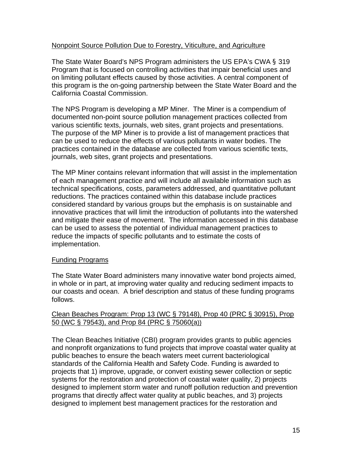# <span id="page-14-0"></span>Nonpoint Source Pollution Due to Forestry, Viticulture, and Agriculture

The State Water Board's NPS Program administers the US EPA's CWA § 319 Program that is focused on controlling activities that impair beneficial uses and on limiting pollutant effects caused by those activities. A central component of this program is the on-going partnership between the State Water Board and the California Coastal Commission.

The NPS Program is developing a MP Miner. The Miner is a compendium of documented non-point source pollution management practices collected from various scientific texts, journals, web sites, grant projects and presentations. The purpose of the MP Miner is to provide a list of management practices that can be used to reduce the effects of various pollutants in water bodies. The practices contained in the database are collected from various scientific texts, journals, web sites, grant projects and presentations.

The MP Miner contains relevant information that will assist in the implementation of each management practice and will include all available information such as technical specifications, costs, parameters addressed, and quantitative pollutant reductions. The practices contained within this database include practices considered standard by various groups but the emphasis is on sustainable and innovative practices that will limit the introduction of pollutants into the watershed and mitigate their ease of movement. The information accessed in this database can be used to assess the potential of individual management practices to reduce the impacts of specific pollutants and to estimate the costs of implementation.

## Funding Programs

The State Water Board administers many innovative water bond projects aimed, in whole or in part, at improving water quality and reducing sediment impacts to our coasts and ocean. A brief description and status of these funding programs follows.

## Clean Beaches Program: Prop 13 (WC § 79148), Prop 40 (PRC § 30915), Prop 50 (WC § 79543), and Prop 84 (PRC § 75060(a))

The Clean Beaches Initiative (CBI) program provides grants to public agencies and nonprofit organizations to fund projects that improve coastal water quality at public beaches to ensure the beach waters meet current bacteriological standards of the California Health and Safety Code. Funding is awarded to projects that 1) improve, upgrade, or convert existing sewer collection or septic systems for the restoration and protection of coastal water quality, 2) projects designed to implement storm water and runoff pollution reduction and prevention programs that directly affect water quality at public beaches, and 3) projects designed to implement best management practices for the restoration and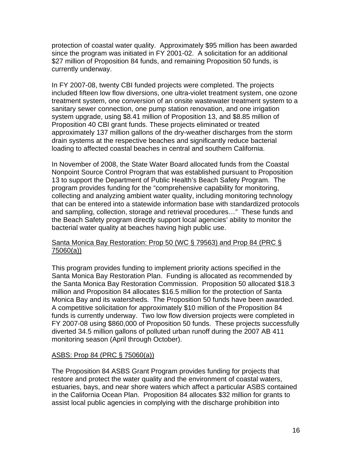protection of coastal water quality. Approximately \$95 million has been awarded since the program was initiated in FY 2001-02. A solicitation for an additional \$27 million of Proposition 84 funds, and remaining Proposition 50 funds, is currently underway.

In FY 2007-08, twenty CBI funded projects were completed. The projects included fifteen low flow diversions, one ultra-violet treatment system, one ozone treatment system, one conversion of an onsite wastewater treatment system to a sanitary sewer connection, one pump station renovation, and one irrigation system upgrade, using \$8.41 million of Proposition 13, and \$8.85 million of Proposition 40 CBI grant funds. These projects eliminated or treated approximately 137 million gallons of the dry-weather discharges from the storm drain systems at the respective beaches and significantly reduce bacterial loading to affected coastal beaches in central and southern California.

In November of 2008, the State Water Board allocated funds from the Coastal Nonpoint Source Control Program that was established pursuant to Proposition 13 to support the Department of Public Health's Beach Safety Program. The program provides funding for the "comprehensive capability for monitoring, collecting and analyzing ambient water quality, including monitoring technology that can be entered into a statewide information base with standardized protocols and sampling, collection, storage and retrieval procedures…" These funds and the Beach Safety program directly support local agencies' ability to monitor the bacterial water quality at beaches having high public use.

# Santa Monica Bay Restoration: Prop 50 (WC § 79563) and Prop 84 (PRC § 75060(a))

This program provides funding to implement priority actions specified in the Santa Monica Bay Restoration Plan. Funding is allocated as recommended by the Santa Monica Bay Restoration Commission. Proposition 50 allocated \$18.3 million and Proposition 84 allocates \$16.5 million for the protection of Santa Monica Bay and its watersheds. The Proposition 50 funds have been awarded. A competitive solicitation for approximately \$10 million of the Proposition 84 funds is currently underway. Two low flow diversion projects were completed in FY 2007-08 using \$860,000 of Proposition 50 funds. These projects successfully diverted 34.5 million gallons of polluted urban runoff during the 2007 AB 411 monitoring season (April through October).

# ASBS: Prop 84 (PRC § 75060(a))

The Proposition 84 ASBS Grant Program provides funding for projects that restore and protect the water quality and the environment of coastal waters, estuaries, bays, and near shore waters which affect a particular ASBS contained in the California Ocean Plan. Proposition 84 allocates \$32 million for grants to assist local public agencies in complying with the discharge prohibition into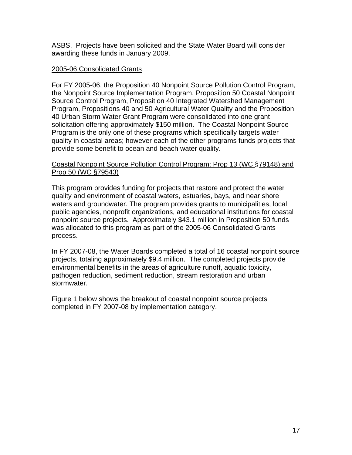ASBS. Projects have been solicited and the State Water Board will consider awarding these funds in January 2009.

## 2005-06 Consolidated Grants

For FY 2005-06, the Proposition 40 Nonpoint Source Pollution Control Program, the Nonpoint Source Implementation Program, Proposition 50 Coastal Nonpoint Source Control Program, Proposition 40 Integrated Watershed Management Program, Propositions 40 and 50 Agricultural Water Quality and the Proposition 40 Urban Storm Water Grant Program were consolidated into one grant solicitation offering approximately \$150 million. The Coastal Nonpoint Source Program is the only one of these programs which specifically targets water quality in coastal areas; however each of the other programs funds projects that provide some benefit to ocean and beach water quality.

#### Coastal Nonpoint Source Pollution Control Program: Prop 13 (WC §79148) and Prop 50 (WC §79543)

This program provides funding for projects that restore and protect the water quality and environment of coastal waters, estuaries, bays, and near shore waters and groundwater. The program provides grants to municipalities, local public agencies, nonprofit organizations, and educational institutions for coastal nonpoint source projects. Approximately \$43.1 million in Proposition 50 funds was allocated to this program as part of the 2005-06 Consolidated Grants process.

In FY 2007-08, the Water Boards completed a total of 16 coastal nonpoint source projects, totaling approximately \$9.4 million. The completed projects provide environmental benefits in the areas of agriculture runoff, aquatic toxicity, pathogen reduction, sediment reduction, stream restoration and urban stormwater.

Figure 1 below shows the breakout of coastal nonpoint source projects completed in FY 2007-08 by implementation category.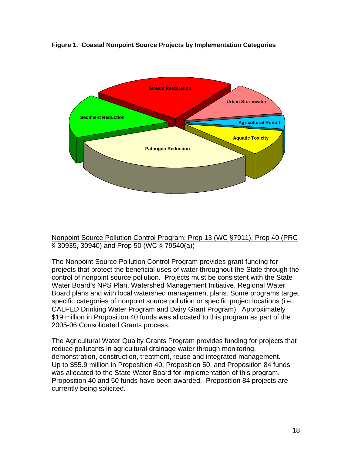<span id="page-17-0"></span>



## Nonpoint Source Pollution Control Program: Prop 13 (WC §7911), Prop 40 (PRC § 30935, 30940) and Prop 50 (WC § 79540(a))

The Nonpoint Source Pollution Control Program provides grant funding for projects that protect the beneficial uses of water throughout the State through the control of nonpoint source pollution. Projects must be consistent with the State Water Board's NPS Plan, Watershed Management Initiative, Regional Water Board plans and with local watershed management plans. Some programs target specific categories of nonpoint source pollution or specific project locations (i.e., CALFED Drinking Water Program and Dairy Grant Program). Approximately \$19 million in Proposition 40 funds was allocated to this program as part of the 2005-06 Consolidated Grants process.

The Agricultural Water Quality Grants Program provides funding for projects that reduce pollutants in agricultural drainage water through monitoring, demonstration, construction, treatment, reuse and integrated management. Up to \$55.9 million in Proposition 40, Proposition 50, and Proposition 84 funds was allocated to the State Water Board for implementation of this program. Proposition 40 and 50 funds have been awarded. Proposition 84 projects are currently being solicited.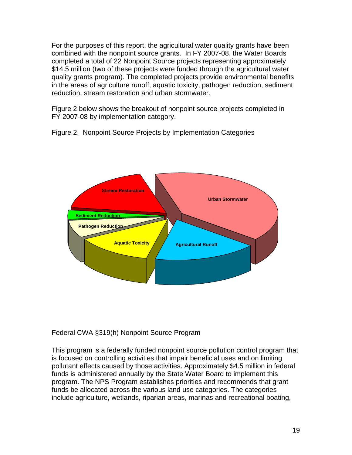<span id="page-18-0"></span>For the purposes of this report, the agricultural water quality grants have been combined with the nonpoint source grants. In FY 2007-08, the Water Boards completed a total of 22 Nonpoint Source projects representing approximately \$14.5 million (two of these projects were funded through the agricultural water quality grants program). The completed projects provide environmental benefits in the areas of agriculture runoff, aquatic toxicity, pathogen reduction, sediment reduction, stream restoration and urban stormwater.

Figure 2 below shows the breakout of nonpoint source projects completed in FY 2007-08 by implementation category.

Figure 2. Nonpoint Source Projects by Implementation Categories



# Federal CWA §319(h) Nonpoint Source Program

This program is a federally funded nonpoint source pollution control program that is focused on controlling activities that impair beneficial uses and on limiting pollutant effects caused by those activities. Approximately \$4.5 million in federal funds is administered annually by the State Water Board to implement this program. The NPS Program establishes priorities and recommends that grant funds be allocated across the various land use categories. The categories include agriculture, wetlands, riparian areas, marinas and recreational boating,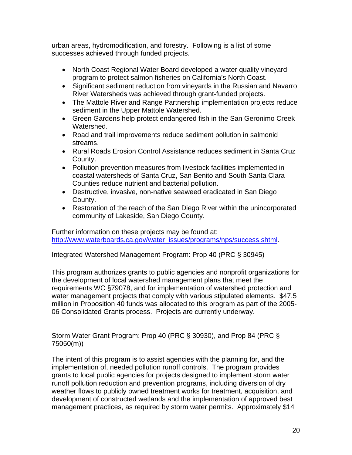urban areas, hydromodification, and forestry. Following is a list of some successes achieved through funded projects.

- North Coast Regional Water Board developed a water quality vineyard program to protect salmon fisheries on California's North Coast.
- Significant sediment reduction from vineyards in the Russian and Navarro River Watersheds was achieved through grant-funded projects.
- The Mattole River and Range Partnership implementation projects reduce sediment in the Upper Mattole Watershed.
- Green Gardens help protect endangered fish in the San Geronimo Creek Watershed.
- Road and trail improvements reduce sediment pollution in salmonid streams.
- Rural Roads Erosion Control Assistance reduces sediment in Santa Cruz County.
- Pollution prevention measures from livestock facilities implemented in coastal watersheds of Santa Cruz, San Benito and South Santa Clara Counties reduce nutrient and bacterial pollution.
- Destructive, invasive, non-native seaweed eradicated in San Diego County.
- Restoration of the reach of the San Diego River within the unincorporated community of Lakeside, San Diego County.

Further information on these projects may be found at: [http://www.waterboards.ca.gov/water\\_issues/programs/nps/success.shtml.](http://www.waterboards.ca.gov/water_issues/programs/nps/success.shtml)

# Integrated Watershed Management Program: Prop 40 (PRC § 30945)

This program authorizes grants to public agencies and nonprofit organizations for the development of local watershed management plans that meet the requirements WC §79078, and for implementation of watershed protection and water management projects that comply with various stipulated elements. \$47.5 million in Proposition 40 funds was allocated to this program as part of the 2005- 06 Consolidated Grants process. Projects are currently underway.

# Storm Water Grant Program: Prop 40 (PRC § 30930), and Prop 84 (PRC § 75050(m))

The intent of this program is to assist agencies with the planning for, and the implementation of, needed pollution runoff controls. The program provides grants to local public agencies for projects designed to implement storm water runoff pollution reduction and prevention programs, including diversion of dry weather flows to publicly owned treatment works for treatment, acquisition, and development of constructed wetlands and the implementation of approved best management practices, as required by storm water permits. Approximately \$14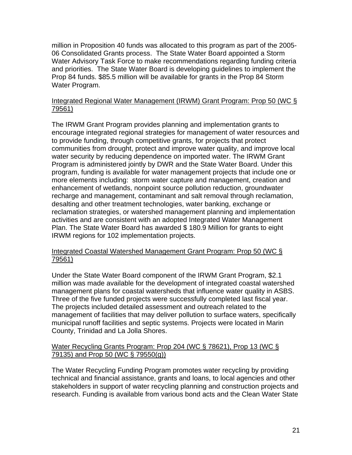million in Proposition 40 funds was allocated to this program as part of the 2005- 06 Consolidated Grants process. The State Water Board appointed a Storm Water Advisory Task Force to make recommendations regarding funding criteria and priorities. The State Water Board is developing guidelines to implement the Prop 84 funds. \$85.5 million will be available for grants in the Prop 84 Storm Water Program.

# Integrated Regional Water Management (IRWM) Grant Program: Prop 50 (WC § 79561)

The IRWM Grant Program provides planning and implementation grants to encourage integrated regional strategies for management of water resources and to provide funding, through competitive grants, for projects that protect communities from drought, protect and improve water quality, and improve local water security by reducing dependence on imported water. The IRWM Grant Program is administered jointly by DWR and the State Water Board. Under this program, funding is available for water management projects that include one or more elements including: storm water capture and management, creation and enhancement of wetlands, nonpoint source pollution reduction, groundwater recharge and management, contaminant and salt removal through reclamation, desalting and other treatment technologies, water banking, exchange or reclamation strategies, or watershed management planning and implementation activities and are consistent with an adopted Integrated Water Management Plan. The State Water Board has awarded \$ 180.9 Million for grants to eight IRWM regions for 102 implementation projects.

# Integrated Coastal Watershed Management Grant Program: Prop 50 (WC § 79561)

Under the State Water Board component of the IRWM Grant Program, \$2.1 million was made available for the development of integrated coastal watershed management plans for coastal watersheds that influence water quality in ASBS. Three of the five funded projects were successfully completed last fiscal year. The projects included detailed assessment and outreach related to the management of facilities that may deliver pollution to surface waters, specifically municipal runoff facilities and septic systems. Projects were located in Marin County, Trinidad and La Jolla Shores.

# Water Recycling Grants Program: Prop 204 (WC § 78621), Prop 13 (WC § 79135) and Prop 50 (WC § 79550(g))

The Water Recycling Funding Program promotes water recycling by providing technical and financial assistance, grants and loans, to local agencies and other stakeholders in support of water recycling planning and construction projects and research. Funding is available from various bond acts and the Clean Water State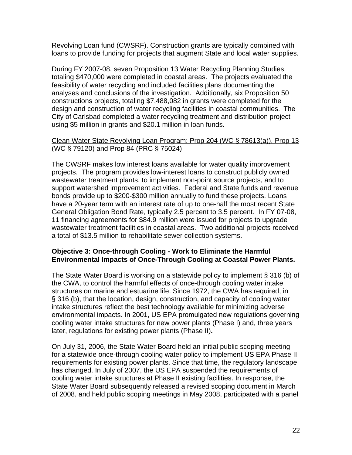<span id="page-21-0"></span>Revolving Loan fund (CWSRF). Construction grants are typically combined with loans to provide funding for projects that augment State and local water supplies.

During FY 2007-08, seven Proposition 13 Water Recycling Planning Studies totaling \$470,000 were completed in coastal areas. The projects evaluated the feasibility of water recycling and included facilities plans documenting the analyses and conclusions of the investigation. Additionally, six Proposition 50 constructions projects, totaling \$7,488,082 in grants were completed for the design and construction of water recycling facilities in coastal communities. The City of Carlsbad completed a water recycling treatment and distribution project using \$5 million in grants and \$20.1 million in loan funds.

# Clean Water State Revolving Loan Program: Prop 204 (WC § 78613(a)), Prop 13 (WC § 79120) and Prop 84 (PRC § 75024)

The CWSRF makes low interest loans available for water quality improvement projects. The program provides low-interest loans to construct publicly owned wastewater treatment plants, to implement non-point source projects, and to support watershed improvement activities. Federal and State funds and revenue bonds provide up to \$200-\$300 million annually to fund these projects. Loans have a 20-year term with an interest rate of up to one-half the most recent State General Obligation Bond Rate, typically 2.5 percent to 3.5 percent. In FY 07-08, 11 financing agreements for \$84.9 million were issued for projects to upgrade wastewater treatment facilities in coastal areas. Two additional projects received a total of \$13.5 million to rehabilitate sewer collection systems.

# **Objective 3: Once-through Cooling - Work to Eliminate the Harmful Environmental Impacts of Once-Through Cooling at Coastal Power Plants.**

The State Water Board is working on a statewide policy to implement § 316 (b) of the CWA, to control the harmful effects of once-through cooling water intake structures on marine and estuarine life. Since 1972, the CWA has required, in § 316 (b), that the location, design, construction, and capacity of cooling water intake structures reflect the best technology available for minimizing adverse environmental impacts. In 2001, US EPA promulgated new regulations governing cooling water intake structures for new power plants (Phase I) and, three years later, regulations for existing power plants (Phase II)**.**

On July 31, 2006, the State Water Board held an initial public scoping meeting for a statewide once-through cooling water policy to implement US EPA Phase II requirements for existing power plants. Since that time, the regulatory landscape has changed. In July of 2007, the US EPA suspended the requirements of cooling water intake structures at Phase II existing facilities. In response, the State Water Board subsequently released a revised scoping document in March of 2008, and held public scoping meetings in May 2008, participated with a panel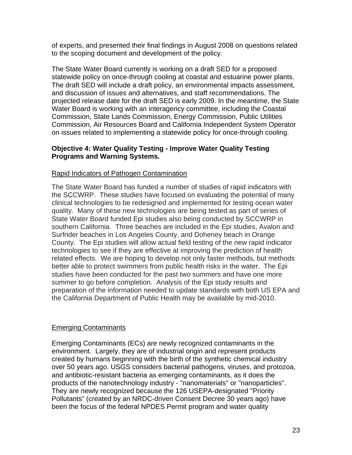<span id="page-22-0"></span>of experts, and presented their final findings in August 2008 on questions related to the scoping document and development of the policy.

The State Water Board currently is working on a draft SED for a proposed statewide policy on once-through cooling at coastal and estuarine power plants. The draft SED will include a draft policy, an environmental impacts assessment, and discussion of issues and alternatives, and staff recommendations. The projected release date for the draft SED is early 2009. In the meantime, the State Water Board is working with an interagency committee, including the Coastal Commission, State Lands Commission, Energy Commission, Public Utilities Commission, Air Resources Board and California Independent System Operator on issues related to implementing a statewide policy for once-through cooling.

# **Objective 4: Water Quality Testing - Improve Water Quality Testing Programs and Warning Systems.**

# Rapid Indicators of Pathogen Contamination

The State Water Board has funded a number of studies of rapid indicators with the SCCWRP. These studies have focused on evaluating the potential of many clinical technologies to be redesigned and implemented for testing ocean water quality. Many of these new technologies are being tested as part of series of State Water Board funded Epi studies also being conducted by SCCWRP in southern California. Three beaches are included in the Epi studies, Avalon and Surfrider beaches in Los Angeles County, and Doheney beach in Orange County. The Epi studies will allow actual field testing of the new rapid indicator technologies to see if they are effective at improving the prediction of health related effects. We are hoping to develop not only faster methods, but methods better able to protect swimmers from public health risks in the water. The Epi studies have been conducted for the past two summers and have one more summer to go before completion. Analysis of the Epi study results and preparation of the information needed to update standards with both US EPA and the California Department of Public Health may be available by mid-2010.

# Emerging Contaminants

Emerging Contaminants (ECs) are newly recognized contaminants in the environment. Largely, they are of industrial origin and represent products created by humans beginning with the birth of the synthetic chemical industry over 50 years ago. USGS considers bacterial pathogens, viruses, and protozoa, and antibiotic-resistant bacteria as emerging contaminants, as it does the products of the nanotechnology industry - "nanomaterials" or "nanoparticles". They are newly recognized because the 126 USEPA-designated "Priority Pollutants" (created by an NRDC-driven Consent Decree 30 years ago) have been the focus of the federal NPDES Permit program and water quality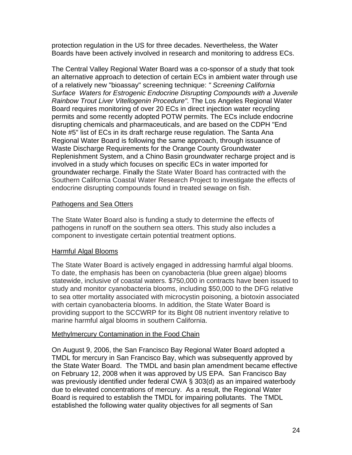<span id="page-23-0"></span>protection regulation in the US for three decades. Nevertheless, the Water Boards have been actively involved in research and monitoring to address ECs.

The Central Valley Regional Water Board was a co-sponsor of a study that took an alternative approach to detection of certain ECs in ambient water through use of a relatively new "bioassay" screening technique: *" Screening California Surface Waters for Estrogenic Endocrine Disrupting Compounds with a Juvenile Rainbow Trout Liver Vitellogenin Procedure".* The Los Angeles Regional Water Board requires monitoring of over 20 ECs in direct injection water recycling permits and some recently adopted POTW permits. The ECs include endocrine disrupting chemicals and pharmaceuticals, and are based on the CDPH "End Note #5" list of ECs in its draft recharge reuse regulation. The Santa Ana Regional Water Board is following the same approach, through issuance of Waste Discharge Requirements for the Orange County Groundwater Replenishment System, and a Chino Basin groundwater recharge project and is involved in a study which focuses on specific ECs in water imported for groundwater recharge. Finally the State Water Board has contracted with the Southern California Coastal Water Research Project to investigate the effects of endocrine disrupting compounds found in treated sewage on fish.

## Pathogens and Sea Otters

The State Water Board also is funding a study to determine the effects of pathogens in runoff on the southern sea otters. This study also includes a component to investigate certain potential treatment options.

## Harmful Algal Blooms

The State Water Board is actively engaged in addressing harmful algal blooms. To date, the emphasis has been on cyanobacteria (blue green algae) blooms statewide, inclusive of coastal waters. \$750,000 in contracts have been issued to study and monitor cyanobacteria blooms, including \$50,000 to the DFG relative to sea otter mortality associated with microcystin poisoning, a biotoxin associated with certain cyanobacteria blooms. In addition, the State Water Board is providing support to the SCCWRP for its Bight 08 nutrient inventory relative to marine harmful algal blooms in southern California.

## Methylmercury Contamination in the Food Chain

On August 9, 2006, the San Francisco Bay Regional Water Board adopted a TMDL for mercury in San Francisco Bay, which was subsequently approved by the State Water Board. The TMDL and basin plan amendment became effective on February 12, 2008 when it was approved by US EPA. San Francisco Bay was previously identified under federal CWA § 303(d) as an impaired waterbody due to elevated concentrations of mercury. As a result, the Regional Water Board is required to establish the TMDL for impairing pollutants. The TMDL established the following water quality objectives for all segments of San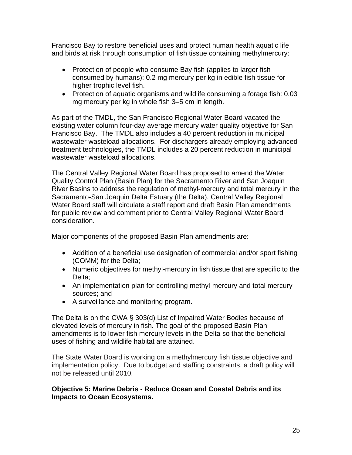<span id="page-24-0"></span>Francisco Bay to restore beneficial uses and protect human health aquatic life and birds at risk through consumption of fish tissue containing methylmercury:

- Protection of people who consume Bay fish (applies to larger fish consumed by humans): 0.2 mg mercury per kg in edible fish tissue for higher trophic level fish.
- Protection of aquatic organisms and wildlife consuming a forage fish: 0.03 mg mercury per kg in whole fish 3–5 cm in length.

As part of the TMDL, the San Francisco Regional Water Board vacated the existing water column four-day average mercury water quality objective for San Francisco Bay. The TMDL also includes a 40 percent reduction in municipal wastewater wasteload allocations. For dischargers already employing advanced treatment technologies, the TMDL includes a 20 percent reduction in municipal wastewater wasteload allocations.

The Central Valley Regional Water Board has proposed to amend the Water Quality Control Plan (Basin Plan) for the Sacramento River and San Joaquin River Basins to address the regulation of methyl-mercury and total mercury in the Sacramento-San Joaquin Delta Estuary (the Delta). Central Valley Regional Water Board staff will circulate a staff report and draft Basin Plan amendments for public review and comment prior to Central Valley Regional Water Board consideration.

Major components of the proposed Basin Plan amendments are:

- Addition of a beneficial use designation of commercial and/or sport fishing (COMM) for the Delta;
- Numeric objectives for methyl-mercury in fish tissue that are specific to the Delta;
- An implementation plan for controlling methyl-mercury and total mercury sources; and
- A surveillance and monitoring program.

The Delta is on the CWA § 303(d) List of Impaired Water Bodies because of elevated levels of mercury in fish. The goal of the proposed Basin Plan amendments is to lower fish mercury levels in the Delta so that the beneficial uses of fishing and wildlife habitat are attained.

The State Water Board is working on a methylmercury fish tissue objective and implementation policy. Due to budget and staffing constraints, a draft policy will not be released until 2010.

## **Objective 5: Marine Debris - Reduce Ocean and Coastal Debris and its Impacts to Ocean Ecosystems.**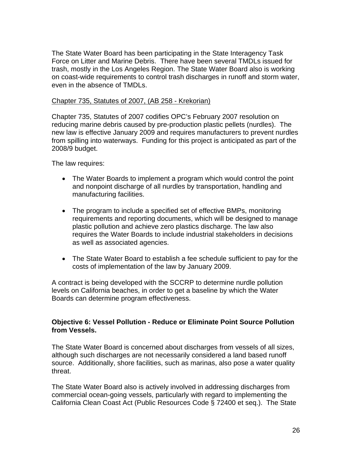<span id="page-25-0"></span>The State Water Board has been participating in the State Interagency Task Force on Litter and Marine Debris. There have been several TMDLs issued for trash, mostly in the Los Angeles Region. The State Water Board also is working on coast-wide requirements to control trash discharges in runoff and storm water, even in the absence of TMDLs.

#### Chapter 735, Statutes of 2007, (AB 258 - Krekorian)

Chapter 735, Statutes of 2007 codifies OPC's February 2007 [resolution](http://www.healthebay.org/news/2007/02_09_opcresolution/default.asp) on reducing marine debris caused by pre-production plastic pellets (nurdles). The new law is effective January 2009 and requires manufacturers to prevent nurdles from spilling into waterways. Funding for this project is anticipated as part of the 2008/9 budget.

The law requires:

- The Water Boards to implement a program which would control the point and nonpoint discharge of all nurdles by transportation, handling and manufacturing facilities.
- The program to include a specified set of effective BMPs, monitoring requirements and reporting documents, which will be designed to manage plastic pollution and achieve zero plastics discharge. The law also requires the Water Boards to include industrial stakeholders in decisions as well as associated agencies.
- The State Water Board to establish a fee schedule sufficient to pay for the costs of implementation of the law by January 2009.

A contract is being developed with the SCCRP to determine nurdle pollution levels on California beaches, in order to get a baseline by which the Water Boards can determine program effectiveness.

# **Objective 6: Vessel Pollution - Reduce or Eliminate Point Source Pollution from Vessels.**

The State Water Board is concerned about discharges from vessels of all sizes, although such discharges are not necessarily considered a land based runoff source. Additionally, shore facilities, such as marinas, also pose a water quality threat.

The State Water Board also is actively involved in addressing discharges from commercial ocean-going vessels, particularly with regard to implementing the California Clean Coast Act (Public Resources Code § 72400 et seq.). The State